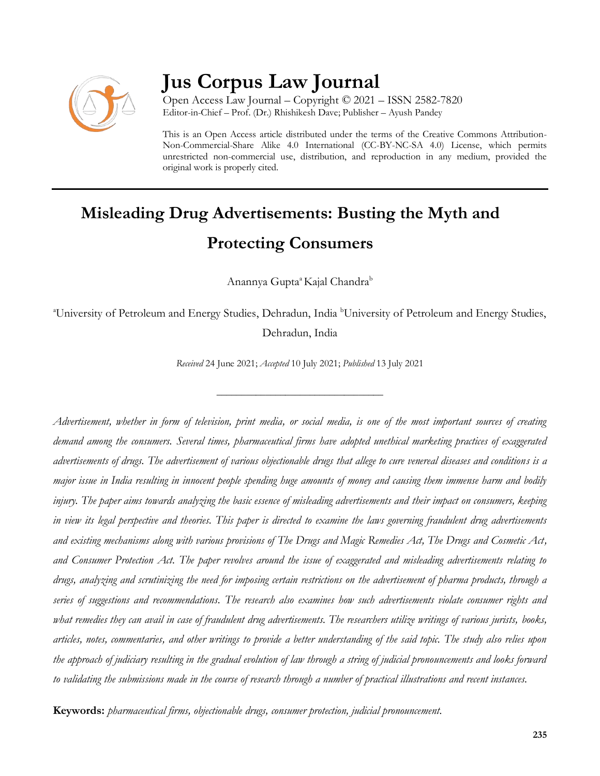

# **Jus Corpus Law Journal**

Open Access Law Journal – Copyright © 2021 – ISSN 2582-7820 Editor-in-Chief – Prof. (Dr.) Rhishikesh Dave; Publisher – Ayush Pandey

This is an Open Access article distributed under the terms of the Creative Commons Attribution-Non-Commercial-Share Alike 4.0 International (CC-BY-NC-SA 4.0) License, which permits unrestricted non-commercial use, distribution, and reproduction in any medium, provided the original work is properly cited.

# **Misleading Drug Advertisements: Busting the Myth and Protecting Consumers**

Anannya Gupta<sup>a</sup> Kajal Chandra<sup>b</sup>

<sup>a</sup>University of Petroleum and Energy Studies, Dehradun, India <sup>b</sup>University of Petroleum and Energy Studies, Dehradun, India

*Received* 24 June 2021; *Accepted* 10 July 2021; *Published* 13 July 2021

\_\_\_\_\_\_\_\_\_\_\_\_\_\_\_\_\_\_\_\_\_\_\_\_\_\_\_\_\_\_\_\_\_\_

*Advertisement, whether in form of television, print media, or social media, is one of the most important sources of creating demand among the consumers. Several times, pharmaceutical firms have adopted unethical marketing practices of exaggerated advertisements of drugs. The advertisement of various objectionable drugs that allege to cure venereal diseases and conditions is a major issue in India resulting in innocent people spending huge amounts of money and causing them immense harm and bodily*  injury. The paper aims towards analyzing the basic essence of misleading advertisements and their *impact on consumers*, keeping *in view its legal perspective and theories. This paper is directed to examine the laws governing fraudulent drug advertisements and existing mechanisms along with various provisions of The Drugs and Magic Remedies Act, The Drugs and Cosmetic Act, and Consumer Protection Act. The paper revolves around the issue of exaggerated and misleading advertisements relating to drugs, analyzing and scrutinizing the need for imposing certain restrictions on the advertisement of pharma products, through a series of suggestions and recommendations. The research also examines how such advertisements violate consumer rights and what remedies they can avail in case of fraudulent drug advertisements. The researchers utilize writings of various jurists, books, articles, notes, commentaries, and other writings to provide a better understanding of the said topic. The study also relies upon the approach of judiciary resulting in the gradual evolution of law through a string of judicial pronouncements and looks forward to validating the submissions made in the course of research through a number of practical illustrations and recent instances.* 

**Keywords:** *pharmaceutical firms, objectionable drugs, consumer protection, judicial pronouncement.*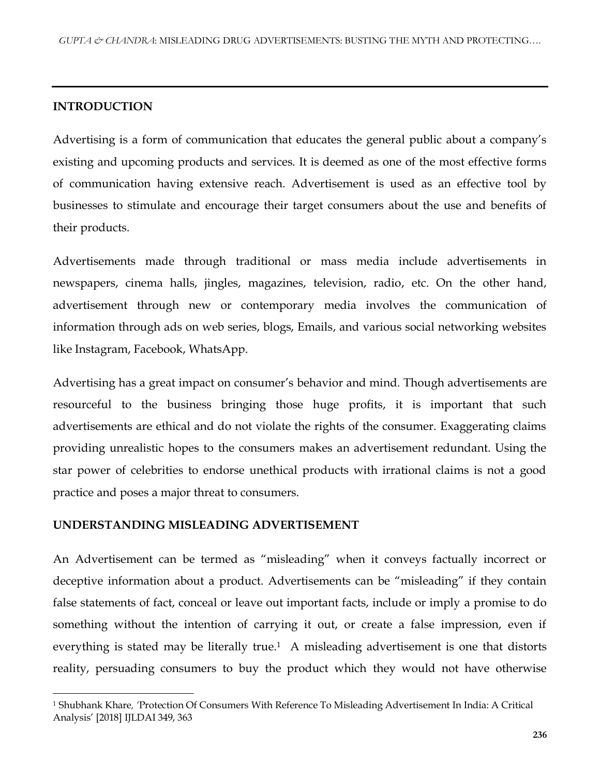#### **INTRODUCTION**

 $\overline{\phantom{a}}$ 

Advertising is a form of communication that educates the general public about a company's existing and upcoming products and services. It is deemed as one of the most effective forms of communication having extensive reach. Advertisement is used as an effective tool by businesses to stimulate and encourage their target consumers about the use and benefits of their products.

Advertisements made through traditional or mass media include advertisements in newspapers, cinema halls, jingles, magazines, television, radio, etc. On the other hand, advertisement through new or contemporary media involves the communication of information through ads on web series, blogs, Emails, and various social networking websites like Instagram, Facebook, WhatsApp.

Advertising has a great impact on consumer's behavior and mind. Though advertisements are resourceful to the business bringing those huge profits, it is important that such advertisements are ethical and do not violate the rights of the consumer. Exaggerating claims providing unrealistic hopes to the consumers makes an advertisement redundant. Using the star power of celebrities to endorse unethical products with irrational claims is not a good practice and poses a major threat to consumers.

#### **UNDERSTANDING MISLEADING ADVERTISEMENT**

An Advertisement can be termed as "misleading" when it conveys factually incorrect or deceptive information about a product. Advertisements can be "misleading" if they contain false statements of fact, conceal or leave out important facts, include or imply a promise to do something without the intention of carrying it out, or create a false impression, even if everything is stated may be literally true.<sup>1</sup> A misleading advertisement is one that distorts reality, persuading consumers to buy the product which they would not have otherwise

<sup>1</sup> Shubhank Khare*, '*Protection Of Consumers With Reference To Misleading Advertisement In India: A Critical Analysis' [2018] IJLDAI 349, 363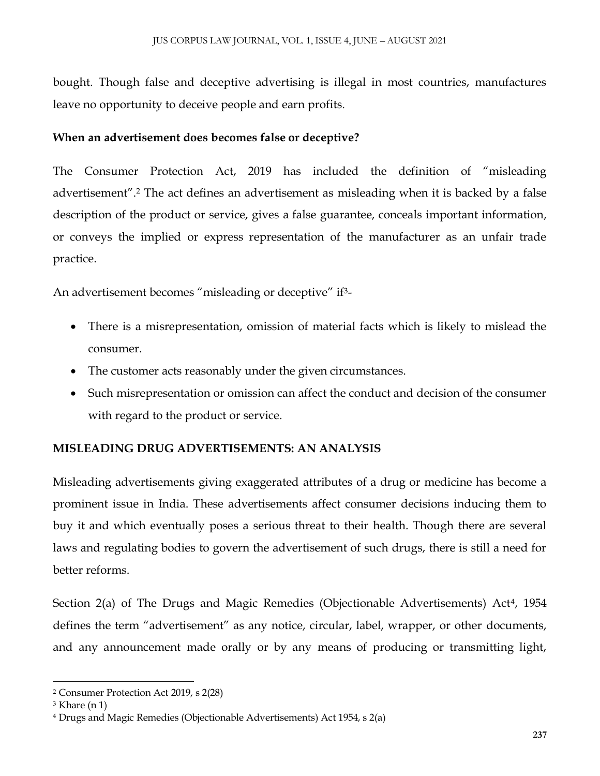bought. Though false and deceptive advertising is illegal in most countries, manufactures leave no opportunity to deceive people and earn profits.

## **When an advertisement does becomes false or deceptive?**

The Consumer Protection Act, 2019 has included the definition of "misleading advertisement".<sup>2</sup> The act defines an advertisement as misleading when it is backed by a false description of the product or service, gives a false guarantee, conceals important information, or conveys the implied or express representation of the manufacturer as an unfair trade practice.

An advertisement becomes "misleading or deceptive" if<sup>3</sup>-

- There is a misrepresentation, omission of material facts which is likely to mislead the consumer.
- The customer acts reasonably under the given circumstances.
- Such misrepresentation or omission can affect the conduct and decision of the consumer with regard to the product or service.

# **MISLEADING DRUG ADVERTISEMENTS: AN ANALYSIS**

Misleading advertisements giving exaggerated attributes of a drug or medicine has become a prominent issue in India. These advertisements affect consumer decisions inducing them to buy it and which eventually poses a serious threat to their health. Though there are several laws and regulating bodies to govern the advertisement of such drugs, there is still a need for better reforms.

Section 2(a) of The Drugs and Magic Remedies (Objectionable Advertisements) Act<sup>4</sup>, 1954 defines the term "advertisement" as any notice, circular, label, wrapper, or other documents, and any announcement made orally or by any means of producing or transmitting light,

 $\overline{\phantom{a}}$ <sup>2</sup> Consumer Protection Act 2019, s 2(28)

<sup>3</sup> Khare (n 1)

<sup>4</sup> Drugs and Magic Remedies (Objectionable Advertisements) Act 1954, s 2(a)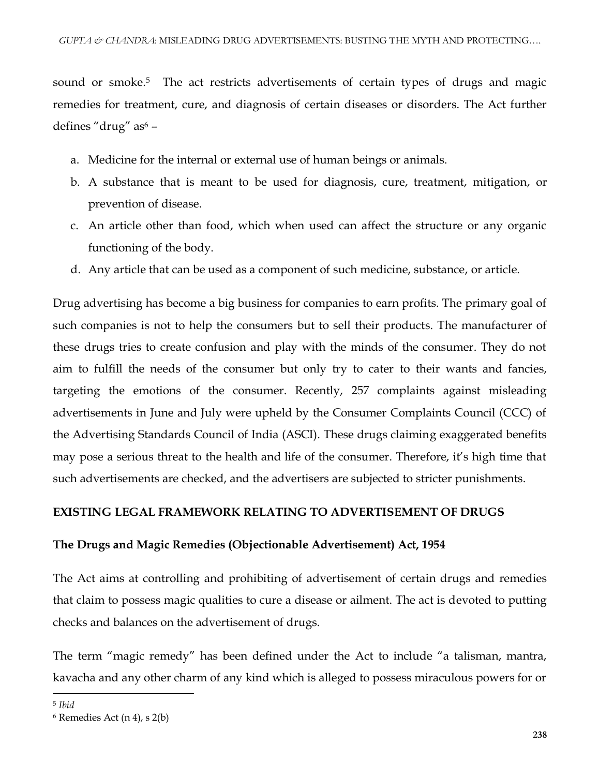sound or smoke.<sup>5</sup> The act restricts advertisements of certain types of drugs and magic remedies for treatment, cure, and diagnosis of certain diseases or disorders. The Act further defines "drug" as<sup>6</sup> -

- a. Medicine for the internal or external use of human beings or animals.
- b. A substance that is meant to be used for diagnosis, cure, treatment, mitigation, or prevention of disease.
- c. An article other than food, which when used can affect the structure or any organic functioning of the body.
- d. Any article that can be used as a component of such medicine, substance, or article.

Drug advertising has become a big business for companies to earn profits. The primary goal of such companies is not to help the consumers but to sell their products. The manufacturer of these drugs tries to create confusion and play with the minds of the consumer. They do not aim to fulfill the needs of the consumer but only try to cater to their wants and fancies, targeting the emotions of the consumer. Recently, 257 complaints against misleading advertisements in June and July were upheld by the Consumer Complaints Council (CCC) of the Advertising Standards Council of India (ASCI). These drugs claiming exaggerated benefits may pose a serious threat to the health and life of the consumer. Therefore, it's high time that such advertisements are checked, and the advertisers are subjected to stricter punishments.

## **EXISTING LEGAL FRAMEWORK RELATING TO ADVERTISEMENT OF DRUGS**

#### **The Drugs and Magic Remedies (Objectionable Advertisement) Act, 1954**

The Act aims at controlling and prohibiting of advertisement of certain drugs and remedies that claim to possess magic qualities to cure a disease or ailment. The act is devoted to putting checks and balances on the advertisement of drugs.

The term "magic remedy" has been defined under the Act to include "a talisman, mantra, kavacha and any other charm of any kind which is alleged to possess miraculous powers for or

<sup>5</sup> *Ibid* 

<sup>6</sup> Remedies Act (n 4), s 2(b)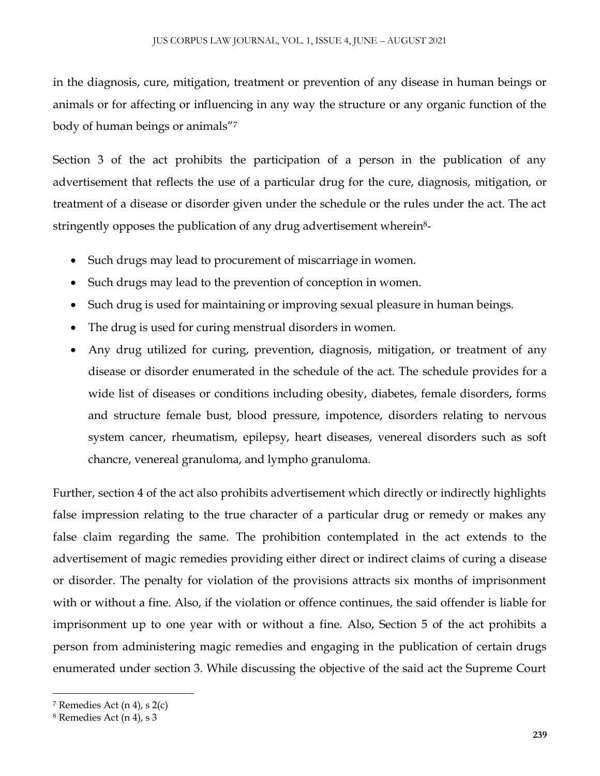in the diagnosis, cure, mitigation, treatment or prevention of any disease in human beings or animals or for affecting or influencing in any way the structure or any organic function of the body of human beings or animals"<sup>7</sup>

Section 3 of the act prohibits the participation of a person in the publication of any advertisement that reflects the use of a particular drug for the cure, diagnosis, mitigation, or treatment of a disease or disorder given under the schedule or the rules under the act. The act stringently opposes the publication of any drug advertisement wherein<sup>8</sup>-

- Such drugs may lead to procurement of miscarriage in women.
- Such drugs may lead to the prevention of conception in women.
- Such drug is used for maintaining or improving sexual pleasure in human beings.
- The drug is used for curing menstrual disorders in women.
- Any drug utilized for curing, prevention, diagnosis, mitigation, or treatment of any disease or disorder enumerated in the schedule of the act. The schedule provides for a wide list of diseases or conditions including obesity, diabetes, female disorders, forms and structure female bust, blood pressure, impotence, disorders relating to nervous system cancer, rheumatism, epilepsy, heart diseases, venereal disorders such as soft chancre, venereal granuloma, and lympho granuloma.

Further, section 4 of the act also prohibits advertisement which directly or indirectly highlights false impression relating to the true character of a particular drug or remedy or makes any false claim regarding the same. The prohibition contemplated in the act extends to the advertisement of magic remedies providing either direct or indirect claims of curing a disease or disorder. The penalty for violation of the provisions attracts six months of imprisonment with or without a fine. Also, if the violation or offence continues, the said offender is liable for imprisonment up to one year with or without a fine. Also, Section 5 of the act prohibits a person from administering magic remedies and engaging in the publication of certain drugs enumerated under section 3. While discussing the objective of the said act the Supreme Court

 $7$  Remedies Act (n 4), s 2(c)

<sup>8</sup> Remedies Act (n 4), s 3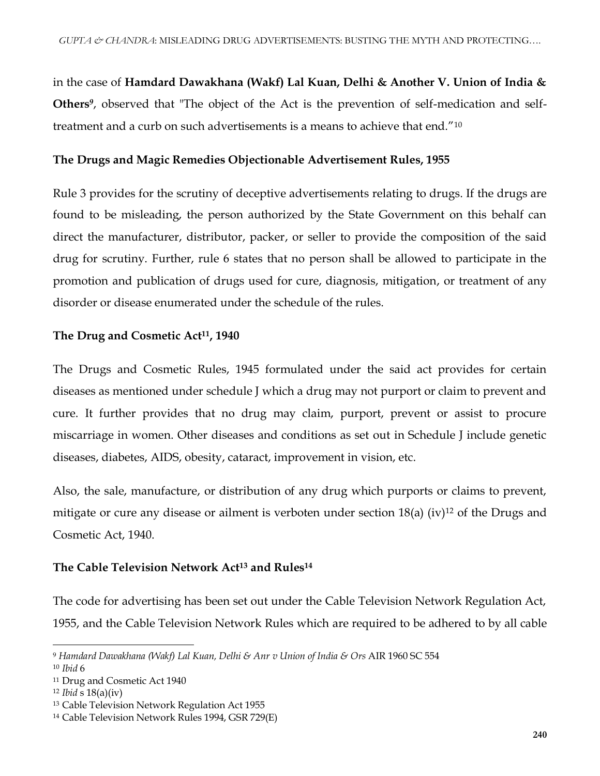in the case of **Hamdard Dawakhana (Wakf) Lal Kuan, Delhi & Another V. Union of India & Others***<sup>9</sup>* , observed that "The object of the Act is the prevention of self-medication and selftreatment and a curb on such advertisements is a means to achieve that end."<sup>10</sup>

#### **The Drugs and Magic Remedies Objectionable Advertisement Rules, 1955**

Rule 3 provides for the scrutiny of deceptive advertisements relating to drugs. If the drugs are found to be misleading, the person authorized by the State Government on this behalf can direct the manufacturer, distributor, packer, or seller to provide the composition of the said drug for scrutiny. Further, rule 6 states that no person shall be allowed to participate in the promotion and publication of drugs used for cure, diagnosis, mitigation, or treatment of any disorder or disease enumerated under the schedule of the rules.

#### **The Drug and Cosmetic Act11, 1940**

The Drugs and Cosmetic Rules, 1945 formulated under the said act provides for certain diseases as mentioned under schedule J which a drug may not purport or claim to prevent and cure. It further provides that no drug may claim, purport, prevent or assist to procure miscarriage in women. Other diseases and conditions as set out in Schedule J include genetic diseases, diabetes, AIDS, obesity, cataract, improvement in vision, etc.

Also, the sale, manufacture, or distribution of any drug which purports or claims to prevent, mitigate or cure any disease or ailment is verboten under section  $18(a)$  (iv)<sup>12</sup> of the Drugs and Cosmetic Act, 1940.

## **The Cable Television Network Act<sup>13</sup> and Rules<sup>14</sup>**

The code for advertising has been set out under the Cable Television Network Regulation Act, 1955, and the Cable Television Network Rules which are required to be adhered to by all cable

 $\overline{a}$ 

<sup>9</sup> *Hamdard Dawakhana (Wakf) Lal Kuan, Delhi & Anr v Union of India & Ors* AIR 1960 SC 554

<sup>10</sup> *Ibid* 6

<sup>11</sup> Drug and Cosmetic Act 1940

<sup>12</sup> *Ibid* s 18(a)(iv)

<sup>13</sup> Cable Television Network Regulation Act 1955

<sup>14</sup> Cable Television Network Rules 1994, GSR 729(E)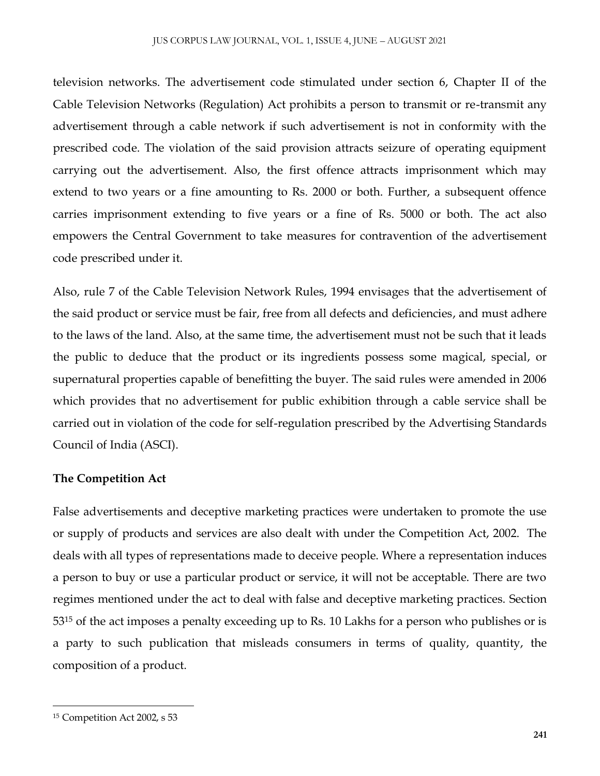television networks. The advertisement code stimulated under section 6, Chapter II of the Cable Television Networks (Regulation) Act prohibits a person to transmit or re-transmit any advertisement through a cable network if such advertisement is not in conformity with the prescribed code. The violation of the said provision attracts seizure of operating equipment carrying out the advertisement. Also, the first offence attracts imprisonment which may extend to two years or a fine amounting to Rs. 2000 or both. Further, a subsequent offence carries imprisonment extending to five years or a fine of Rs. 5000 or both. The act also empowers the Central Government to take measures for contravention of the advertisement code prescribed under it.

Also, rule 7 of the Cable Television Network Rules, 1994 envisages that the advertisement of the said product or service must be fair, free from all defects and deficiencies, and must adhere to the laws of the land. Also, at the same time, the advertisement must not be such that it leads the public to deduce that the product or its ingredients possess some magical, special, or supernatural properties capable of benefitting the buyer. The said rules were amended in 2006 which provides that no advertisement for public exhibition through a cable service shall be carried out in violation of the code for self-regulation prescribed by the Advertising Standards Council of India (ASCI).

## **The Competition Act**

False advertisements and deceptive marketing practices were undertaken to promote the use or supply of products and services are also dealt with under the Competition Act, 2002. The deals with all types of representations made to deceive people. Where a representation induces a person to buy or use a particular product or service, it will not be acceptable. There are two regimes mentioned under the act to deal with false and deceptive marketing practices. Section 53<sup>15</sup> of the act imposes a penalty exceeding up to Rs. 10 Lakhs for a person who publishes or is a party to such publication that misleads consumers in terms of quality, quantity, the composition of a product.

<sup>15</sup> Competition Act 2002, s 53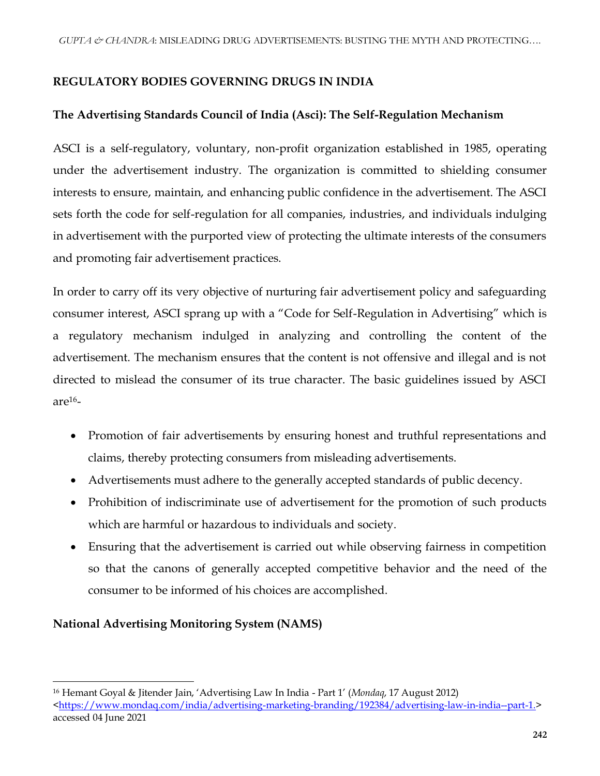# **REGULATORY BODIES GOVERNING DRUGS IN INDIA**

# **The Advertising Standards Council of India (Asci): The Self-Regulation Mechanism**

ASCI is a self-regulatory, voluntary, non-profit organization established in 1985, operating under the advertisement industry. The organization is committed to shielding consumer interests to ensure, maintain, and enhancing public confidence in the advertisement. The ASCI sets forth the code for self-regulation for all companies, industries, and individuals indulging in advertisement with the purported view of protecting the ultimate interests of the consumers and promoting fair advertisement practices.

In order to carry off its very objective of nurturing fair advertisement policy and safeguarding consumer interest, ASCI sprang up with a "Code for Self-Regulation in Advertising" which is a regulatory mechanism indulged in analyzing and controlling the content of the advertisement. The mechanism ensures that the content is not offensive and illegal and is not directed to mislead the consumer of its true character. The basic guidelines issued by ASCI are $16$ -

- Promotion of fair advertisements by ensuring honest and truthful representations and claims, thereby protecting consumers from misleading advertisements.
- Advertisements must adhere to the generally accepted standards of public decency.
- Prohibition of indiscriminate use of advertisement for the promotion of such products which are harmful or hazardous to individuals and society.
- Ensuring that the advertisement is carried out while observing fairness in competition so that the canons of generally accepted competitive behavior and the need of the consumer to be informed of his choices are accomplished.

# **National Advertising Monitoring System (NAMS)**

<sup>16</sup> Hemant Goyal & Jitender Jain, 'Advertising Law In India - Part 1' (*Mondaq*, 17 August 2012) [<https://www.mondaq.com/india/advertising-marketing-branding/192384/advertising-law-in-india--part-1.>](https://www.mondaq.com/india/advertising-marketing-branding/192384/advertising-law-in-india--part-1.) accessed 04 June 2021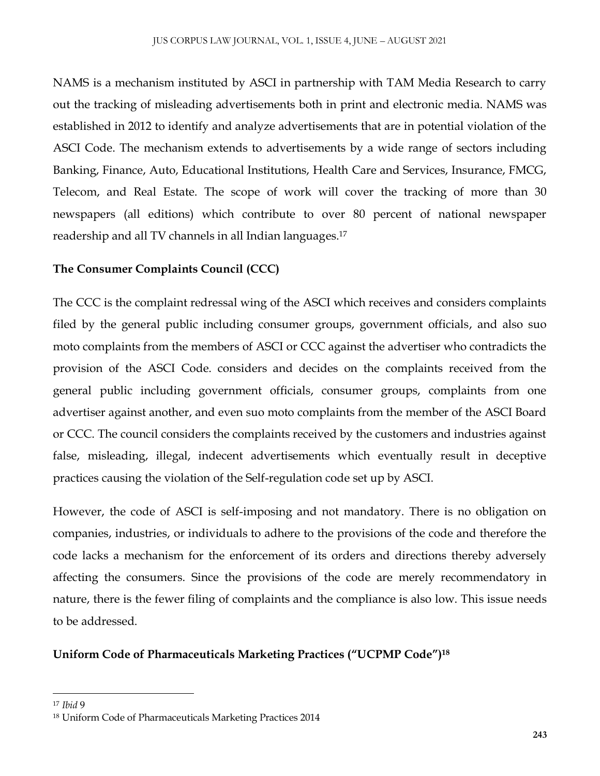NAMS is a mechanism instituted by ASCI in partnership with TAM Media Research to carry out the tracking of misleading advertisements both in print and electronic media. NAMS was established in 2012 to identify and analyze advertisements that are in potential violation of the ASCI Code. The mechanism extends to advertisements by a wide range of sectors including Banking, Finance, Auto, Educational Institutions, Health Care and Services, Insurance, FMCG, Telecom, and Real Estate. The scope of work will cover the tracking of more than 30 newspapers (all editions) which contribute to over 80 percent of national newspaper readership and all TV channels in all Indian languages.<sup>17</sup>

# **The Consumer Complaints Council (CCC)**

The CCC is the complaint redressal wing of the ASCI which receives and considers complaints filed by the general public including consumer groups, government officials, and also suo moto complaints from the members of ASCI or CCC against the advertiser who contradicts the provision of the ASCI Code. considers and decides on the complaints received from the general public including government officials, consumer groups, complaints from one advertiser against another, and even suo moto complaints from the member of the ASCI Board or CCC. The council considers the complaints received by the customers and industries against false, misleading, illegal, indecent advertisements which eventually result in deceptive practices causing the violation of the Self-regulation code set up by ASCI.

However, the code of ASCI is self-imposing and not mandatory. There is no obligation on companies, industries, or individuals to adhere to the provisions of the code and therefore the code lacks a mechanism for the enforcement of its orders and directions thereby adversely affecting the consumers. Since the provisions of the code are merely recommendatory in nature, there is the fewer filing of complaints and the compliance is also low. This issue needs to be addressed.

# **Uniform Code of Pharmaceuticals Marketing Practices ("UCPMP Code")<sup>18</sup>**

<sup>17</sup> *Ibid* 9

<sup>18</sup> Uniform Code of Pharmaceuticals Marketing Practices 2014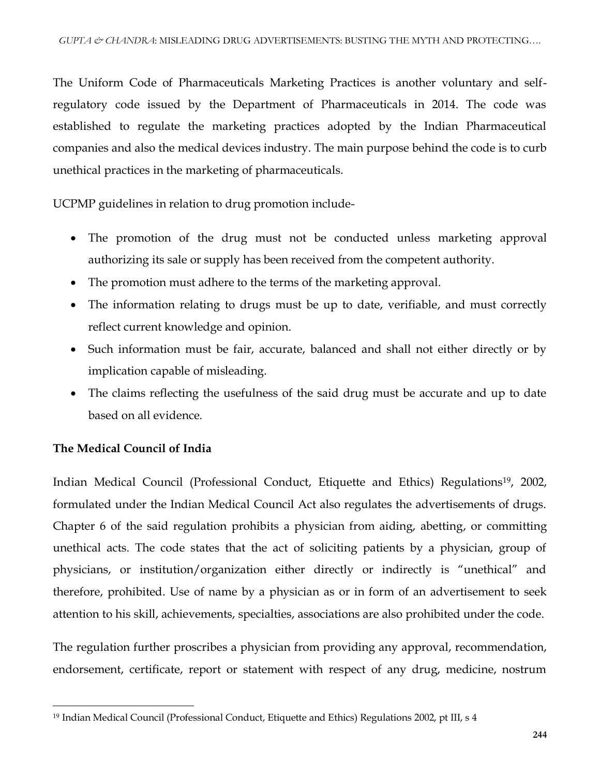The Uniform Code of Pharmaceuticals Marketing Practices is another voluntary and selfregulatory code issued by the Department of Pharmaceuticals in 2014. The code was established to regulate the marketing practices adopted by the Indian Pharmaceutical companies and also the medical devices industry. The main purpose behind the code is to curb unethical practices in the marketing of pharmaceuticals.

UCPMP guidelines in relation to drug promotion include-

- The promotion of the drug must not be conducted unless marketing approval authorizing its sale or supply has been received from the competent authority.
- The promotion must adhere to the terms of the marketing approval.
- The information relating to drugs must be up to date, verifiable, and must correctly reflect current knowledge and opinion.
- Such information must be fair, accurate, balanced and shall not either directly or by implication capable of misleading.
- The claims reflecting the usefulness of the said drug must be accurate and up to date based on all evidence.

## **The Medical Council of India**

 $\overline{\phantom{a}}$ 

Indian Medical Council (Professional Conduct, Etiquette and Ethics) Regulations<sup>19</sup>, 2002, formulated under the Indian Medical Council Act also regulates the advertisements of drugs. Chapter 6 of the said regulation prohibits a physician from aiding, abetting, or committing unethical acts. The code states that the act of soliciting patients by a physician, group of physicians, or institution/organization either directly or indirectly is "unethical" and therefore, prohibited. Use of name by a physician as or in form of an advertisement to seek attention to his skill, achievements, specialties, associations are also prohibited under the code.

The regulation further proscribes a physician from providing any approval, recommendation, endorsement, certificate, report or statement with respect of any drug, medicine, nostrum

<sup>19</sup> Indian Medical Council (Professional Conduct, Etiquette and Ethics) Regulations 2002, pt III, s 4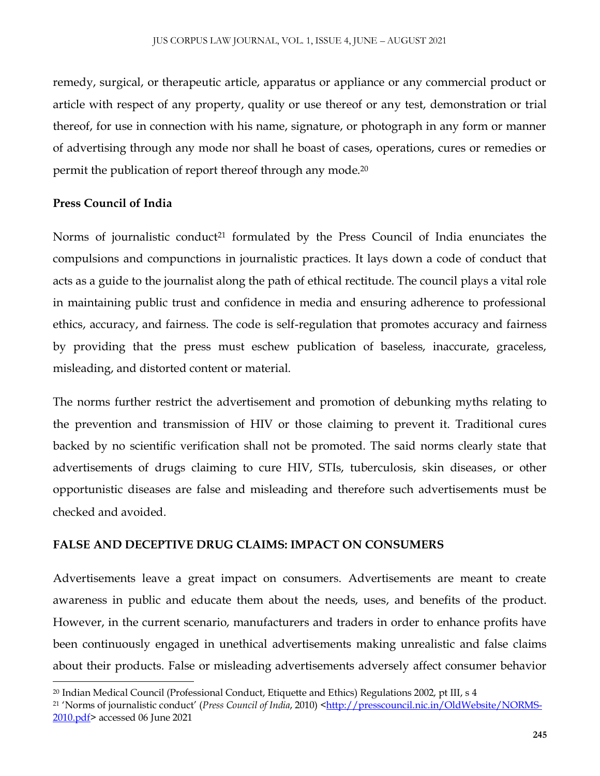remedy, surgical, or therapeutic article, apparatus or appliance or any commercial product or article with respect of any property, quality or use thereof or any test, demonstration or trial thereof, for use in connection with his name, signature, or photograph in any form or manner of advertising through any mode nor shall he boast of cases, operations, cures or remedies or permit the publication of report thereof through any mode.<sup>20</sup>

# **Press Council of India**

Norms of journalistic conduct<sup>21</sup> formulated by the Press Council of India enunciates the compulsions and compunctions in journalistic practices. It lays down a code of conduct that acts as a guide to the journalist along the path of ethical rectitude. The council plays a vital role in maintaining public trust and confidence in media and ensuring adherence to professional ethics, accuracy, and fairness. The code is self-regulation that promotes accuracy and fairness by providing that the press must eschew publication of baseless, inaccurate, graceless, misleading, and distorted content or material.

The norms further restrict the advertisement and promotion of debunking myths relating to the prevention and transmission of HIV or those claiming to prevent it. Traditional cures backed by no scientific verification shall not be promoted. The said norms clearly state that advertisements of drugs claiming to cure HIV, STIs, tuberculosis, skin diseases, or other opportunistic diseases are false and misleading and therefore such advertisements must be checked and avoided.

## **FALSE AND DECEPTIVE DRUG CLAIMS: IMPACT ON CONSUMERS**

Advertisements leave a great impact on consumers. Advertisements are meant to create awareness in public and educate them about the needs, uses, and benefits of the product. However, in the current scenario, manufacturers and traders in order to enhance profits have been continuously engaged in unethical advertisements making unrealistic and false claims about their products. False or misleading advertisements adversely affect consumer behavior

 $\overline{\phantom{a}}$ <sup>20</sup> Indian Medical Council (Professional Conduct, Etiquette and Ethics) Regulations 2002, pt III, s 4

<sup>&</sup>lt;sup>21</sup> 'Norms of journalistic conduct' (*Press Council of India*, 2010) [<http://presscouncil.nic.in/OldWebsite/NORMS-](http://presscouncil.nic.in/OldWebsite/NORMS-2010.pdf)[2010.pdf>](http://presscouncil.nic.in/OldWebsite/NORMS-2010.pdf) accessed 06 June 2021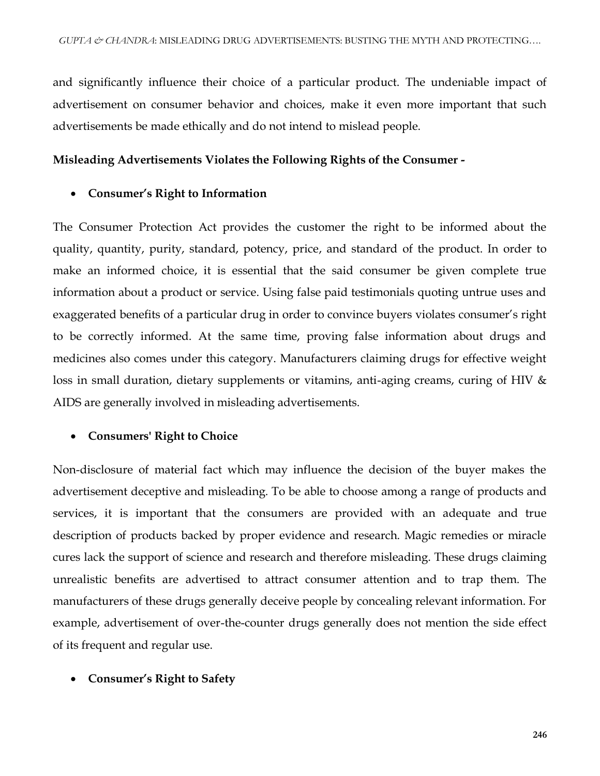and significantly influence their choice of a particular product. The undeniable impact of advertisement on consumer behavior and choices, make it even more important that such advertisements be made ethically and do not intend to mislead people.

#### **Misleading Advertisements Violates the Following Rights of the Consumer -**

#### **Consumer's Right to Information**

The Consumer Protection Act provides the customer the right to be informed about the quality, quantity, purity, standard, potency, price, and standard of the product. In order to make an informed choice, it is essential that the said consumer be given complete true information about a product or service. Using false paid testimonials quoting untrue uses and exaggerated benefits of a particular drug in order to convince buyers violates consumer's right to be correctly informed. At the same time, proving false information about drugs and medicines also comes under this category. Manufacturers claiming drugs for effective weight loss in small duration, dietary supplements or vitamins, anti-aging creams, curing of HIV & AIDS are generally involved in misleading advertisements.

## **Consumers' Right to Choice**

Non-disclosure of material fact which may influence the decision of the buyer makes the advertisement deceptive and misleading. To be able to choose among a range of products and services, it is important that the consumers are provided with an adequate and true description of products backed by proper evidence and research. Magic remedies or miracle cures lack the support of science and research and therefore misleading. These drugs claiming unrealistic benefits are advertised to attract consumer attention and to trap them. The manufacturers of these drugs generally deceive people by concealing relevant information. For example, advertisement of over-the-counter drugs generally does not mention the side effect of its frequent and regular use.

## **Consumer's Right to Safety**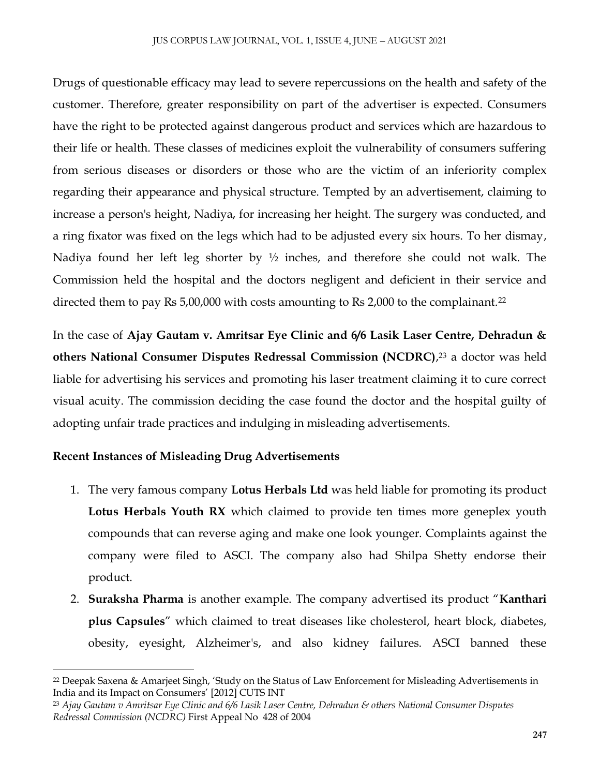Drugs of questionable efficacy may lead to severe repercussions on the health and safety of the customer. Therefore, greater responsibility on part of the advertiser is expected. Consumers have the right to be protected against dangerous product and services which are hazardous to their life or health. These classes of medicines exploit the vulnerability of consumers suffering from serious diseases or disorders or those who are the victim of an inferiority complex regarding their appearance and physical structure. Tempted by an advertisement, claiming to increase a person's height, Nadiya, for increasing her height. The surgery was conducted, and a ring fixator was fixed on the legs which had to be adjusted every six hours. To her dismay, Nadiya found her left leg shorter by ½ inches, and therefore she could not walk. The Commission held the hospital and the doctors negligent and deficient in their service and directed them to pay Rs 5,00,000 with costs amounting to Rs 2,000 to the complainant.<sup>22</sup>

In the case of **Ajay Gautam v. Amritsar Eye Clinic and 6/6 Lasik Laser Centre, Dehradun & others National Consumer Disputes Redressal Commission (NCDRC)**, <sup>23</sup> a doctor was held liable for advertising his services and promoting his laser treatment claiming it to cure correct visual acuity. The commission deciding the case found the doctor and the hospital guilty of adopting unfair trade practices and indulging in misleading advertisements.

## **Recent Instances of Misleading Drug Advertisements**

- 1. The very famous company **Lotus Herbals Ltd** was held liable for promoting its product **Lotus Herbals Youth RX** which claimed to provide ten times more geneplex youth compounds that can reverse aging and make one look younger. Complaints against the company were filed to ASCI. The company also had Shilpa Shetty endorse their product.
- 2. **Suraksha Pharma** is another example. The company advertised its product "**Kanthari plus Capsules**" which claimed to treat diseases like cholesterol, heart block, diabetes, obesity, eyesight, Alzheimer's, and also kidney failures. ASCI banned these

<sup>22</sup> Deepak Saxena & Amarjeet Singh, 'Study on the Status of Law Enforcement for Misleading Advertisements in India and its Impact on Consumers' [2012] CUTS INT

<sup>23</sup> *Ajay Gautam v Amritsar Eye Clinic and 6/6 Lasik Laser Centre, Dehradun & others National Consumer Disputes Redressal Commission (NCDRC)* First Appeal No 428 of 2004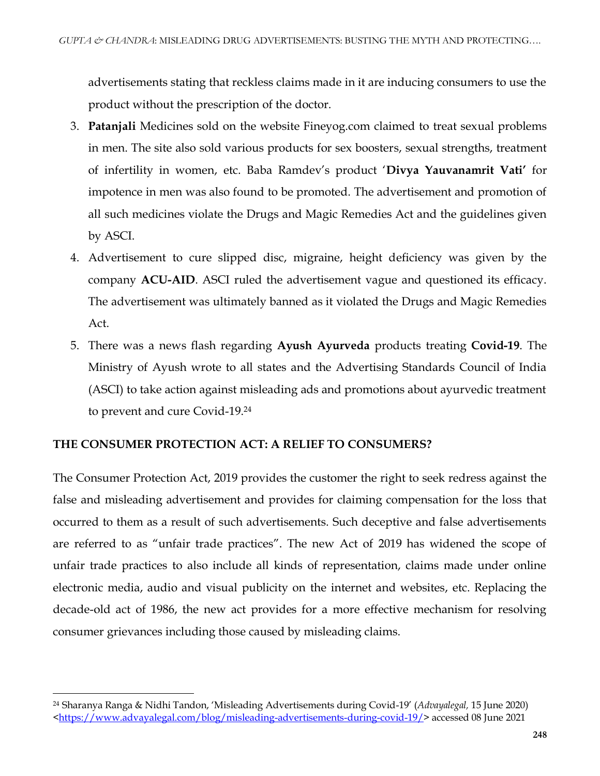advertisements stating that reckless claims made in it are inducing consumers to use the product without the prescription of the doctor.

- 3. **Patanjali** Medicines sold on the website Fineyog.com claimed to treat sexual problems in men. The site also sold various products for sex boosters, sexual strengths, treatment of infertility in women, etc. Baba Ramdev's product '**Divya Yauvanamrit Vati'** for impotence in men was also found to be promoted. The advertisement and promotion of all such medicines violate the Drugs and Magic Remedies Act and the guidelines given by ASCI.
- 4. Advertisement to cure slipped disc, migraine, height deficiency was given by the company **ACU-AID**. ASCI ruled the advertisement vague and questioned its efficacy. The advertisement was ultimately banned as it violated the Drugs and Magic Remedies Act.
- 5. There was a news flash regarding **Ayush Ayurveda** products treating **Covid-19**. The Ministry of Ayush wrote to all states and the Advertising Standards Council of India (ASCI) to take action against misleading ads and promotions about ayurvedic treatment to prevent and cure Covid-19.<sup>24</sup>

## **THE CONSUMER PROTECTION ACT: A RELIEF TO CONSUMERS?**

 $\overline{\phantom{a}}$ 

The Consumer Protection Act, 2019 provides the customer the right to seek redress against the false and misleading advertisement and provides for claiming compensation for the loss that occurred to them as a result of such advertisements. Such deceptive and false advertisements are referred to as "unfair trade practices". The new Act of 2019 has widened the scope of unfair trade practices to also include all kinds of representation, claims made under online electronic media, audio and visual publicity on the internet and websites, etc. Replacing the decade-old act of 1986, the new act provides for a more effective mechanism for resolving consumer grievances including those caused by misleading claims.

<sup>24</sup> Sharanya Ranga & Nidhi Tandon, 'Misleading Advertisements during Covid-19' (*Advayalegal,* 15 June 2020) [<https://www.advayalegal.com/blog/misleading-advertisements-during-covid-19/>](https://www.advayalegal.com/blog/misleading-advertisements-during-covid-19/) accessed 08 June 2021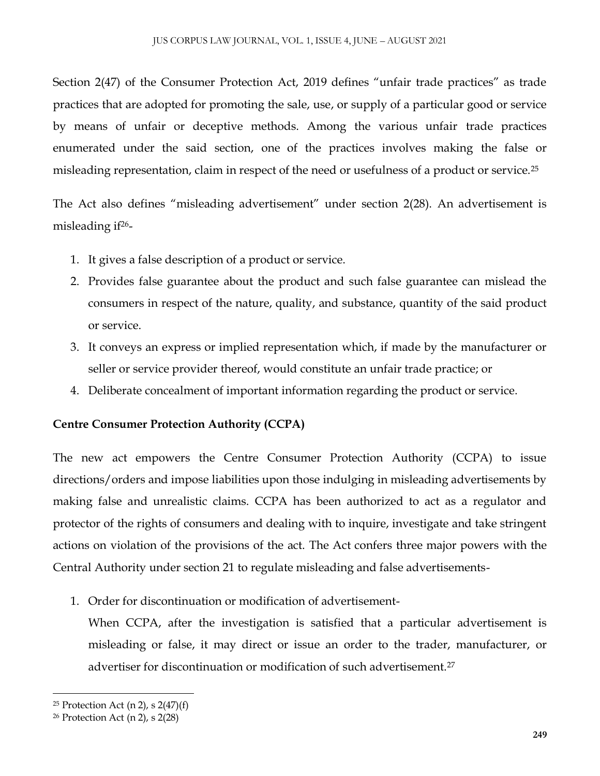Section 2(47) of the Consumer Protection Act, 2019 defines "unfair trade practices" as trade practices that are adopted for promoting the sale, use, or supply of a particular good or service by means of unfair or deceptive methods. Among the various unfair trade practices enumerated under the said section, one of the practices involves making the false or misleading representation, claim in respect of the need or usefulness of a product or service.<sup>25</sup>

The Act also defines "misleading advertisement" under section 2(28). An advertisement is misleading  $if^{26}$ -

- 1. It gives a false description of a product or service.
- 2. Provides false guarantee about the product and such false guarantee can mislead the consumers in respect of the nature, quality, and substance, quantity of the said product or service.
- 3. It conveys an express or implied representation which, if made by the manufacturer or seller or service provider thereof, would constitute an unfair trade practice; or
- 4. Deliberate concealment of important information regarding the product or service.

# **Centre Consumer Protection Authority (CCPA)**

The new act empowers the Centre Consumer Protection Authority (CCPA) to issue directions/orders and impose liabilities upon those indulging in misleading advertisements by making false and unrealistic claims. CCPA has been authorized to act as a regulator and protector of the rights of consumers and dealing with to inquire, investigate and take stringent actions on violation of the provisions of the act. The Act confers three major powers with the Central Authority under section 21 to regulate misleading and false advertisements-

1. Order for discontinuation or modification of advertisement-

When CCPA, after the investigation is satisfied that a particular advertisement is misleading or false, it may direct or issue an order to the trader, manufacturer, or advertiser for discontinuation or modification of such advertisement.<sup>27</sup>

<sup>&</sup>lt;sup>25</sup> Protection Act (n 2), s  $2(47)(f)$ 

<sup>26</sup> Protection Act (n 2), s 2(28)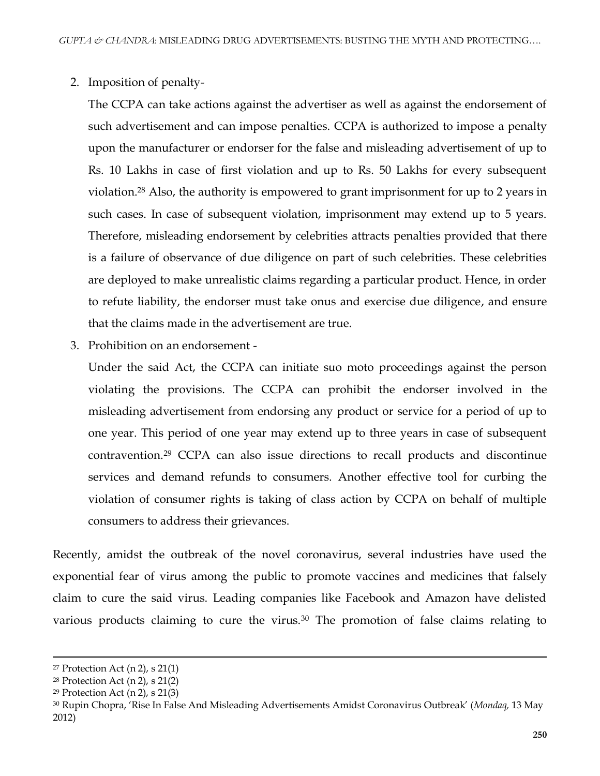2. Imposition of penalty-

The CCPA can take actions against the advertiser as well as against the endorsement of such advertisement and can impose penalties. CCPA is authorized to impose a penalty upon the manufacturer or endorser for the false and misleading advertisement of up to Rs. 10 Lakhs in case of first violation and up to Rs. 50 Lakhs for every subsequent violation.<sup>28</sup> Also, the authority is empowered to grant imprisonment for up to 2 years in such cases. In case of subsequent violation, imprisonment may extend up to 5 years. Therefore, misleading endorsement by celebrities attracts penalties provided that there is a failure of observance of due diligence on part of such celebrities. These celebrities are deployed to make unrealistic claims regarding a particular product. Hence, in order to refute liability, the endorser must take onus and exercise due diligence, and ensure that the claims made in the advertisement are true.

3. Prohibition on an endorsement -

Under the said Act, the CCPA can initiate suo moto proceedings against the person violating the provisions. The CCPA can prohibit the endorser involved in the misleading advertisement from endorsing any product or service for a period of up to one year. This period of one year may extend up to three years in case of subsequent contravention.<sup>29</sup> CCPA can also issue directions to recall products and discontinue services and demand refunds to consumers. Another effective tool for curbing the violation of consumer rights is taking of class action by CCPA on behalf of multiple consumers to address their grievances.

Recently, amidst the outbreak of the novel coronavirus, several industries have used the exponential fear of virus among the public to promote vaccines and medicines that falsely claim to cure the said virus. Leading companies like Facebook and Amazon have delisted various products claiming to cure the virus.<sup>30</sup> The promotion of false claims relating to

 $\overline{a}$ 

<sup>&</sup>lt;sup>27</sup> Protection Act  $(n 2)$ , s  $21(1)$ 

<sup>28</sup> Protection Act (n 2), s 21(2)

<sup>29</sup> Protection Act (n 2), s 21(3)

<sup>30</sup> Rupin Chopra, 'Rise In False And Misleading Advertisements Amidst Coronavirus Outbreak' (*Mondaq,* 13 May 2012)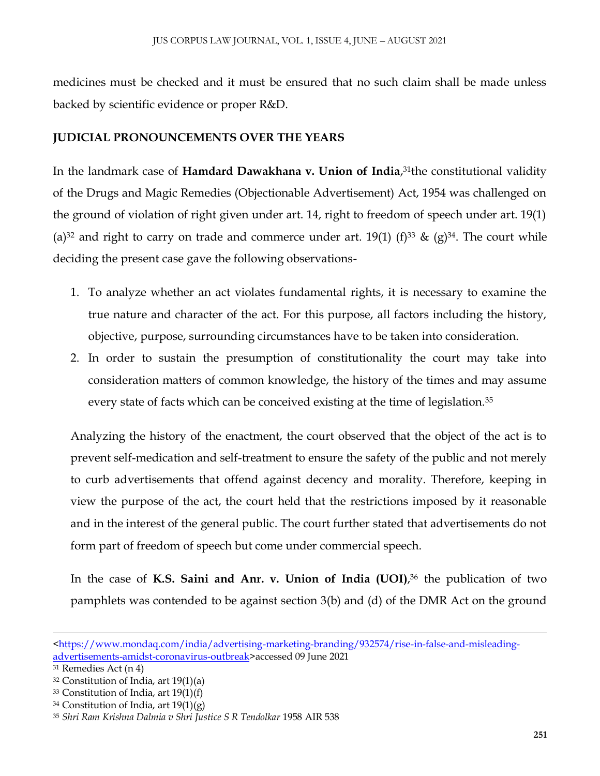medicines must be checked and it must be ensured that no such claim shall be made unless backed by scientific evidence or proper R&D.

# **JUDICIAL PRONOUNCEMENTS OVER THE YEARS**

In the landmark case of **Hamdard Dawakhana v. Union of India**, <sup>31</sup>the constitutional validity of the Drugs and Magic Remedies (Objectionable Advertisement) Act, 1954 was challenged on the ground of violation of right given under art. 14, right to freedom of speech under art. 19(1) (a)<sup>32</sup> and right to carry on trade and commerce under art. 19(1) (f)<sup>33</sup> & (g)<sup>34</sup>. The court while deciding the present case gave the following observations-

- 1. To analyze whether an act violates fundamental rights, it is necessary to examine the true nature and character of the act. For this purpose, all factors including the history, objective, purpose, surrounding circumstances have to be taken into consideration.
- 2. In order to sustain the presumption of constitutionality the court may take into consideration matters of common knowledge, the history of the times and may assume every state of facts which can be conceived existing at the time of legislation.<sup>35</sup>

Analyzing the history of the enactment, the court observed that the object of the act is to prevent self-medication and self-treatment to ensure the safety of the public and not merely to curb advertisements that offend against decency and morality. Therefore, keeping in view the purpose of the act, the court held that the restrictions imposed by it reasonable and in the interest of the general public. The court further stated that advertisements do not form part of freedom of speech but come under commercial speech.

In the case of **K.S. Saini and Anr. v. Union of India (UOI)**, <sup>36</sup> the publication of two pamphlets was contended to be against section 3(b) and (d) of the DMR Act on the ground

 $\overline{a}$ 

[<sup>&</sup>lt;https://www.mondaq.com/india/advertising-marketing-branding/932574/rise-in-false-and-misleading](https://www.mondaq.com/india/advertising-marketing-branding/932574/rise-in-false-and-misleading-advertisements-amidst-coronavirus-outbreak)[advertisements-amidst-coronavirus-outbreak>](https://www.mondaq.com/india/advertising-marketing-branding/932574/rise-in-false-and-misleading-advertisements-amidst-coronavirus-outbreak)accessed 09 June 2021

<sup>31</sup> Remedies Act (n 4)

<sup>32</sup> Constitution of India, art 19(1)(a)

<sup>33</sup> Constitution of India, art 19(1)(f)

 $34$  Constitution of India, art  $19(1)(g)$ 

<sup>35</sup> *Shri Ram Krishna Dalmia v Shri Justice S R Tendolkar* 1958 AIR 538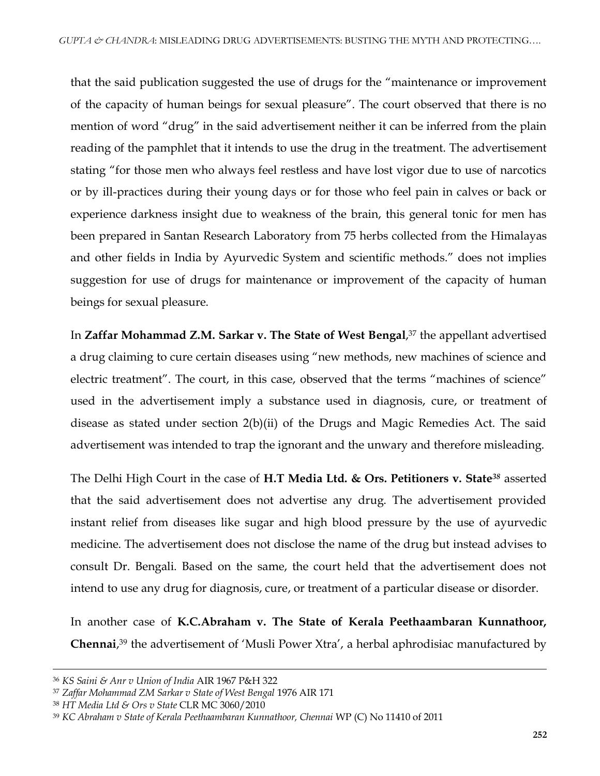that the said publication suggested the use of drugs for the "maintenance or improvement of the capacity of human beings for sexual pleasure". The court observed that there is no mention of word "drug" in the said advertisement neither it can be inferred from the plain reading of the pamphlet that it intends to use the drug in the treatment. The advertisement stating "for those men who always feel restless and have lost vigor due to use of narcotics or by ill-practices during their young days or for those who feel pain in calves or back or experience darkness insight due to weakness of the brain, this general tonic for men has been prepared in Santan Research Laboratory from 75 herbs collected from the Himalayas and other fields in India by Ayurvedic System and scientific methods." does not implies suggestion for use of drugs for maintenance or improvement of the capacity of human beings for sexual pleasure.

In **Zaffar Mohammad Z.M. Sarkar v. The State of West Bengal**, <sup>37</sup> the appellant advertised a drug claiming to cure certain diseases using "new methods, new machines of science and electric treatment". The court, in this case, observed that the terms "machines of science" used in the advertisement imply a substance used in diagnosis, cure, or treatment of disease as stated under section 2(b)(ii) of the Drugs and Magic Remedies Act. The said advertisement was intended to trap the ignorant and the unwary and therefore misleading.

The Delhi High Court in the case of **H.T Media Ltd. & Ors. Petitioners v. State***<sup>38</sup>* asserted that the said advertisement does not advertise any drug. The advertisement provided instant relief from diseases like sugar and high blood pressure by the use of ayurvedic medicine. The advertisement does not disclose the name of the drug but instead advises to consult Dr. Bengali. Based on the same, the court held that the advertisement does not intend to use any drug for diagnosis, cure, or treatment of a particular disease or disorder.

In another case of **K.C.Abraham v. The State of Kerala Peethaambaran Kunnathoor, Chennai**, <sup>39</sup> the advertisement of 'Musli Power Xtra', a herbal aphrodisiac manufactured by

<sup>36</sup> *KS Saini & Anr v Union of India* AIR 1967 P&H 322

<sup>37</sup> *Zaffar Mohammad ZM Sarkar v State of West Bengal* 1976 AIR 171

<sup>38</sup> *HT Media Ltd & Ors v State* CLR MC 3060/2010

<sup>39</sup> *KC Abraham v State of Kerala Peethaambaran Kunnathoor, Chennai* WP (C) No 11410 of 2011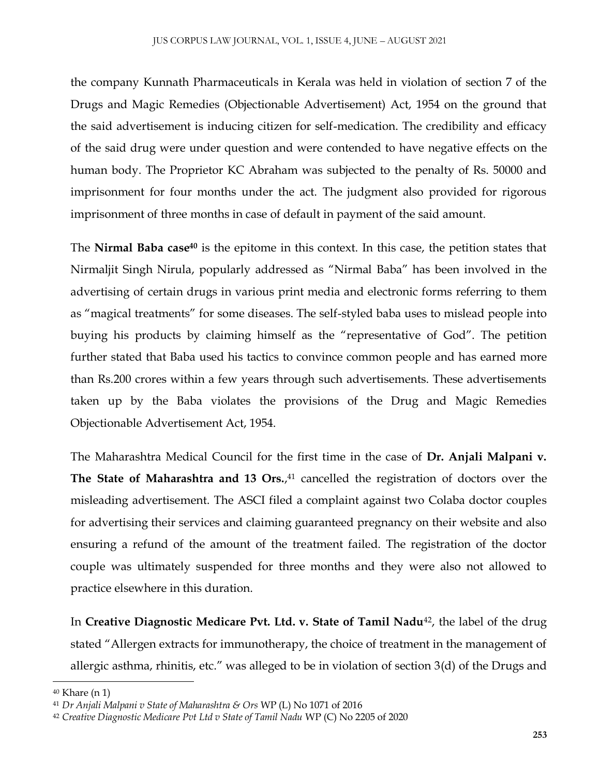the company Kunnath Pharmaceuticals in Kerala was held in violation of section 7 of the Drugs and Magic Remedies (Objectionable Advertisement) Act, 1954 on the ground that the said advertisement is inducing citizen for self-medication. The credibility and efficacy of the said drug were under question and were contended to have negative effects on the human body. The Proprietor KC Abraham was subjected to the penalty of Rs. 50000 and imprisonment for four months under the act. The judgment also provided for rigorous imprisonment of three months in case of default in payment of the said amount.

The **Nirmal Baba case<sup>40</sup>** is the epitome in this context. In this case, the petition states that Nirmaljit Singh Nirula, popularly addressed as "Nirmal Baba" has been involved in the advertising of certain drugs in various print media and electronic forms referring to them as "magical treatments" for some diseases. The self-styled baba uses to mislead people into buying his products by claiming himself as the "representative of God". The petition further stated that Baba used his tactics to convince common people and has earned more than Rs.200 crores within a few years through such advertisements. These advertisements taken up by the Baba violates the provisions of the Drug and Magic Remedies Objectionable Advertisement Act, 1954.

The Maharashtra Medical Council for the first time in the case of **Dr. Anjali Malpani v. The State of Maharashtra and 13 Ors.**, <sup>41</sup> cancelled the registration of doctors over the misleading advertisement. The ASCI filed a complaint against two Colaba doctor couples for advertising their services and claiming guaranteed pregnancy on their website and also ensuring a refund of the amount of the treatment failed. The registration of the doctor couple was ultimately suspended for three months and they were also not allowed to practice elsewhere in this duration.

In **Creative Diagnostic Medicare Pvt. Ltd. v. State of Tamil Nadu**42, the label of the drug stated "Allergen extracts for immunotherapy, the choice of treatment in the management of allergic asthma, rhinitis, etc." was alleged to be in violation of section 3(d) of the Drugs and

<sup>40</sup> Khare (n 1)

<sup>41</sup> *Dr Anjali Malpani v State of Maharashtra & Ors* WP (L) No 1071 of 2016

<sup>42</sup> *Creative Diagnostic Medicare Pvt Ltd v State of Tamil Nadu* WP (C) No 2205 of 2020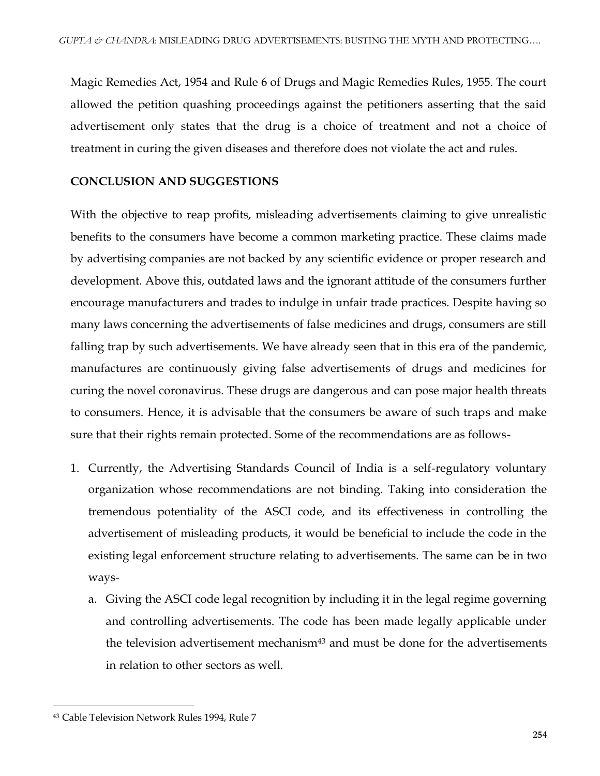Magic Remedies Act, 1954 and Rule 6 of Drugs and Magic Remedies Rules, 1955. The court allowed the petition quashing proceedings against the petitioners asserting that the said advertisement only states that the drug is a choice of treatment and not a choice of treatment in curing the given diseases and therefore does not violate the act and rules.

#### **CONCLUSION AND SUGGESTIONS**

With the objective to reap profits, misleading advertisements claiming to give unrealistic benefits to the consumers have become a common marketing practice. These claims made by advertising companies are not backed by any scientific evidence or proper research and development. Above this, outdated laws and the ignorant attitude of the consumers further encourage manufacturers and trades to indulge in unfair trade practices. Despite having so many laws concerning the advertisements of false medicines and drugs, consumers are still falling trap by such advertisements. We have already seen that in this era of the pandemic, manufactures are continuously giving false advertisements of drugs and medicines for curing the novel coronavirus. These drugs are dangerous and can pose major health threats to consumers. Hence, it is advisable that the consumers be aware of such traps and make sure that their rights remain protected. Some of the recommendations are as follows-

- 1. Currently, the Advertising Standards Council of India is a self-regulatory voluntary organization whose recommendations are not binding. Taking into consideration the tremendous potentiality of the ASCI code, and its effectiveness in controlling the advertisement of misleading products, it would be beneficial to include the code in the existing legal enforcement structure relating to advertisements. The same can be in two ways
	- a. Giving the ASCI code legal recognition by including it in the legal regime governing and controlling advertisements. The code has been made legally applicable under the television advertisement mechanism<sup>43</sup> and must be done for the advertisements in relation to other sectors as well.

<sup>43</sup> Cable Television Network Rules 1994, Rule 7